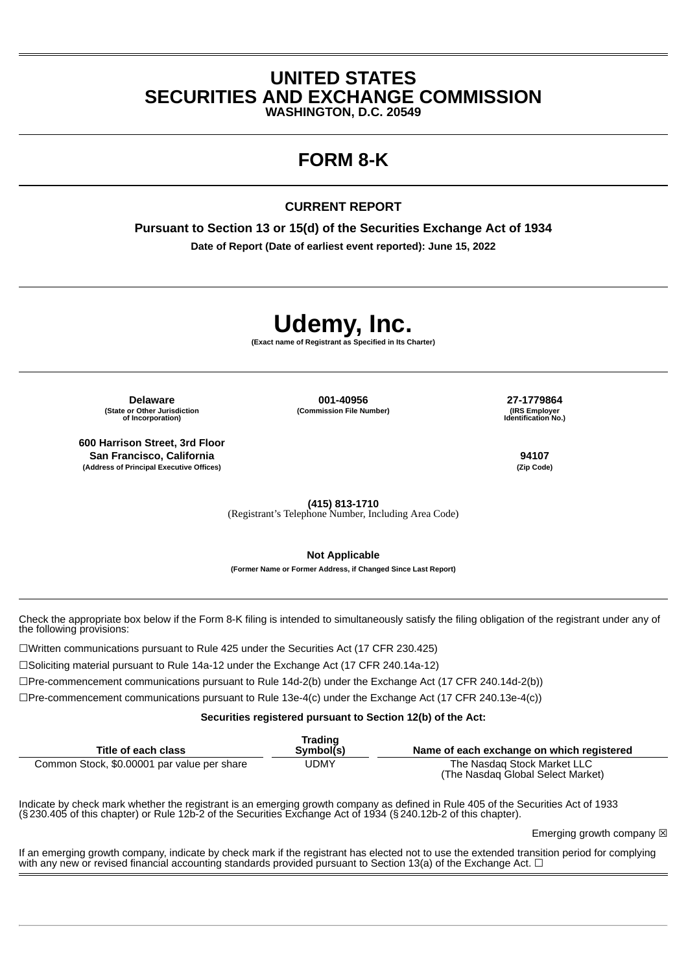### **UNITED STATES SECURITIES AND EXCHANGE COMMISSION**

**WASHINGTON, D.C. 20549**

## **FORM 8-K**

### **CURRENT REPORT**

**Pursuant to Section 13 or 15(d) of the Securities Exchange Act of 1934 Date of Report (Date of earliest event reported): June 15, 2022**

# **Udemy, Inc.**

**(Exact name of Registrant as Specified in Its Charter)**

**(Commission File Number) (IRS Employer**

**(State or Other Jurisdiction of Incorporation)**

**600 Harrison Street, 3rd Floor San Francisco, California 94107 (Address of Principal Executive Offices) (Zip Code)**

**Delaware 001-40956 27-1779864 Identification No.)**

**(415) 813-1710**

(Registrant's Telephone Number, Including Area Code)

**Not Applicable**

**(Former Name or Former Address, if Changed Since Last Report)**

Check the appropriate box below if the Form 8-K filing is intended to simultaneously satisfy the filing obligation of the registrant under any of the following provisions:

☐Written communications pursuant to Rule 425 under the Securities Act (17 CFR 230.425)

☐Soliciting material pursuant to Rule 14a-12 under the Exchange Act (17 CFR 240.14a-12)

☐Pre-commencement communications pursuant to Rule 14d-2(b) under the Exchange Act (17 CFR 240.14d-2(b))

☐Pre-commencement communications pursuant to Rule 13e-4(c) under the Exchange Act (17 CFR 240.13e-4(c))

**Securities registered pursuant to Section 12(b) of the Act:**

| Title of each class                         | Trading<br>Symbol(s) | Name of each exchange on which registered                        |
|---------------------------------------------|----------------------|------------------------------------------------------------------|
| Common Stock, \$0.00001 par value per share | UDMY                 | The Nasdag Stock Market LLC<br>(The Nasdag Global Select Market) |

Indicate by check mark whether the registrant is an emerging growth company as defined in Rule 405 of the Securities Act of 1933 (§230.405 of this chapter) or Rule 12b-2 of the Securities Exchange Act of 1934 (§240.12b-2 of this chapter).

Emerging growth company  $\boxtimes$ 

If an emerging growth company, indicate by check mark if the registrant has elected not to use the extended transition period for complying with any new or revised financial accounting standards provided pursuant to Section 13(a) of the Exchange Act.  $\Box$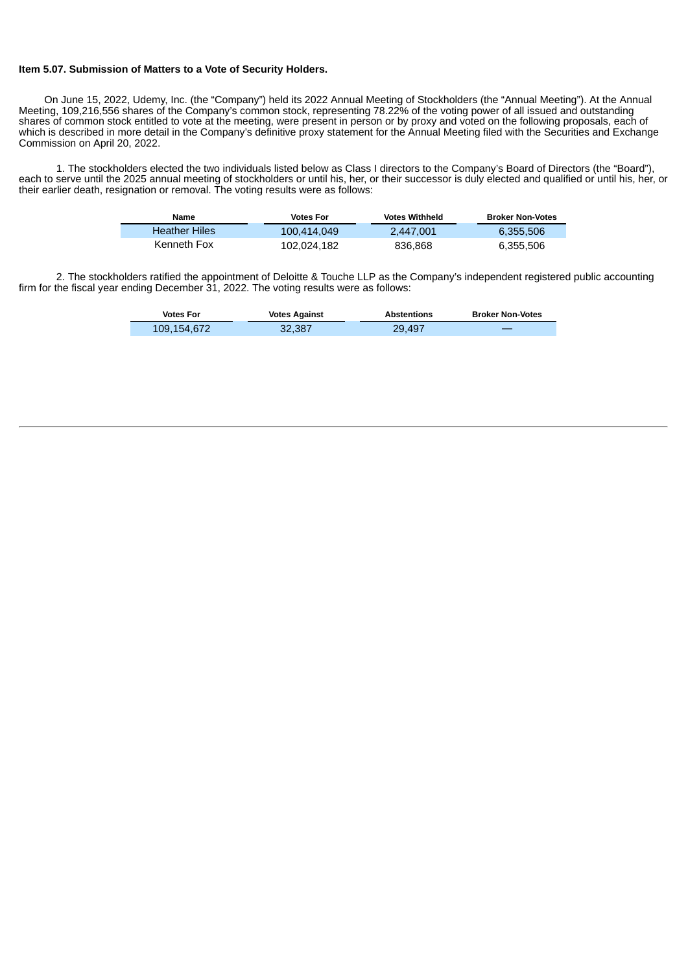#### **Item 5.07. Submission of Matters to a Vote of Security Holders.**

On June 15, 2022, Udemy, Inc. (the "Company") held its 2022 Annual Meeting of Stockholders (the "Annual Meeting"). At the Annual Meeting, 109,216,556 shares of the Company's common stock, representing 78.22% of the voting power of all issued and outstanding shares of common stock entitled to vote at the meeting, were present in person or by proxy and voted on the following proposals, each of which is described in more detail in the Company's definitive proxy statement for the Annual Meeting filed with the Securities and Exchange Commission on April 20, 2022.

1. The stockholders elected the two individuals listed below as Class I directors to the Company's Board of Directors (the "Board"), each to serve until the 2025 annual meeting of stockholders or until his, her, or their successor is duly elected and qualified or until his, her, or their earlier death, resignation or removal. The voting results were as follows:

| Name                 | <b>Votes For</b> | <b>Votes Withheld</b> | <b>Broker Non-Votes</b> |
|----------------------|------------------|-----------------------|-------------------------|
| <b>Heather Hiles</b> | 100.414.049      | 2.447.001             | 6.355.506               |
| Kenneth Fox          | 102.024.182      | 836.868               | 6,355,506               |

2. The stockholders ratified the appointment of Deloitte & Touche LLP as the Company's independent registered public accounting firm for the fiscal year ending December 31, 2022. The voting results were as follows:

| <b>Votes For</b> | <b>Votes Against</b> | <b>Abstentions</b> | <b>Broker Non-Votes</b> |
|------------------|----------------------|--------------------|-------------------------|
| 109.154.672      | 32,387               | 29.497             |                         |